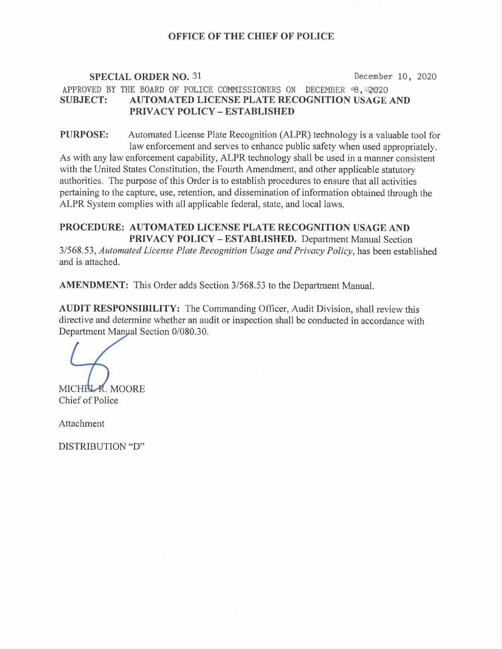## OFFICE OF THE CHIEF OF POLICE

# SPECIAL ORDER NO. 31 December 10, 2020 APPROVED BY THE BOARD OF POLICE COMMISSIONERS ON DECEMBER  $*8,$  @2020 SUBJECT: AUTOMATED LICENSE PLATE RECOGNITION USAGE AND PRIVACY POLICY —ESTABLISHED

PURPOSE: Automated License Plate Recognition (ALPR) technology is a valuable tool for law enforcement and serves to enhance public safety when used appropriately. As with any law enforcement capability, ALPR technology shall be used in a manner consistent with the United States Constitution, the Fourth Amendment, and other applicable statutory authorities. The purpose of this Order is to establish procedures to ensure that all activities pertaining to the capture, use, retention, and dissemination of information obtained through the ALPR System complies with all applicable federal, state, and local laws.

## PROCEDURE: AUTOMATED LICENSE PLATE RECOGNITION USAGE AND PRIVACY POLICY —ESTABLISHED. Department Manual Section

3/568.53, Automated License Plate Recognition Usage and Privacy Policy, has been established and is attached.

AMENDMENT: This Order adds Section 3/568.53 to the Department Manual.

AUDIT RESPONSIBILITY: The Commanding Officer, Audit Division, shall review this directive and determine whether an audit or inspection shall be conducted in accordance with Department Manyal Section 0/080.30.

MICHBL R. MOORE Chief of Police

Attachment

DISTRIBUTION "D"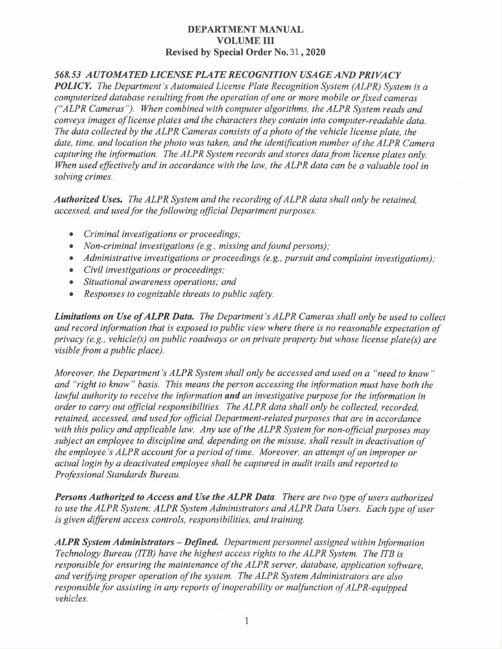## 568.53 AUTOMATED LICENSE PLATE RECOGNITION USAGE AND PRIVACY

POLICY. The Department's Automated License Plate Recognition System (ALPR) System is a computerized database resulting from the operation of one or more mobile or fixed cameras ("ALPR Cameras "). When combined with computer algorithms, the ALPR System reads and conveys images of license plates and the characters they contain into computer-readable data. The data collected by the ALPR Cameras consists of a photo of the vehicle license plate, the date, time, and location the photo was taken, and the identification number of the ALPR Camera capturing the information. The ALPR System records and stores data from license plates only. When used effectively and in accordance with the law, the ALPR data can be a valuable tool in solving crimes.

Authorized Uses. The ALPR System and the recording of ALPR data shall only be retained, accessed, and used for the following official Department purposes:

- Criminal investigations or proceedings;
- Non-criminal investigations (e.g., missing and found persons);
- Administrative investigations or proceedings (e.g., pursuit and complaint investigations);
- Civil investigations or proceedings;
- Situational awareness operations; and
- Responses to cognizable threats to public safety.

Limitations on Use of ALPR Data. The Department's ALPR Cameras shall only be used to collect and record information that is exposed to public view where there is no reasonable expectation of privacy (e.g., vehicle(s) on public roadways or on private property but whose license plate(s) are visible from a public place).

Moreover, the Department's ALPR System shall only be accessed and used on a "need to know " and "right to know "basis. This means the person accessing the information must have both the lawful authority to receive the information and an investigative purpose for the information in order to carry out official responsibilities. The ALPR data shall only be collected, recorded, retained, accessed, and used for official Department-related purposes that are in accordance with this policy and applicable law. Any use of the ALPR System for non-official purposes may subject an employee to discipline and, depending on the misuse, shall result in deactivation of the employee 's ALPR account for a period of time. Moreover, an attempt of an improper or actual login by a deactivated employee shall be captured in audit trails and reported to Professional Standards Bureau.

Persons Authorized to Access and Use the ALPR Data. There are two type of users authorized to use the ALPR System: ALPR System Administrators and ALPR Data Users. Each type of user is given different access controls, responsibilities, and training.

ALPR System Administrators – Defined. Department personnel assigned within Information Technology Bureau (ITB) have the highest access rights to the ALPR System. The ITB is responsible for ensuring the maintenance of the ALPR server, database, application software, and verifying proper operation of the system. The ALPR System Administrators are also responsible for assisting in any reports of inoperability or malfunction of ALPR-equipped vehicles.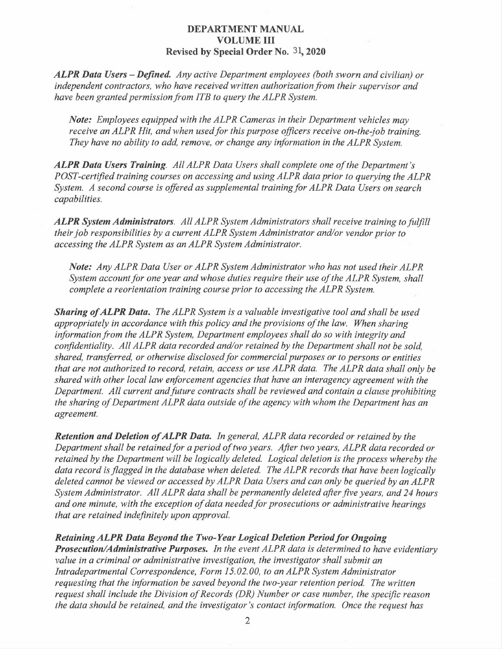**ALPR Data Users – Defined.** Any active Department employees (both sworn and civilian) or independent contractors, who have received written authorization from their supervisor and have been granted permission from ITB to query the ALPR System.

Note: Employees equipped with the ALPR Cameras in their Department vehicles may receive an ALPR Hit, and when used for this purpose officers receive on-the job training. They have no ability to add, remove, or change any information in the ALPR System.

ALPR Data Users Training. All ALPR Data Users shall complete one of the Department's POST-certified training courses on accessing and using ALPR data prior to querying the ALPR System. A second course is offered as supplemental training for ALPR Data Users on search capabilities.

ALPR System Administrators. All ALPR System Administrators shall receive training to fulfill their job responsibilities by a current ALPR System Administrator and/or vendor prior to accessing the ALPR System as an ALPR System Administrator.

Note: Any ALPR Data User or ALPR System Administrator who has not used their ALPR System account for one year and whose duties require their use of the ALPR System, shall complete a reorientation training course prior to accessing the ALPR System.

**Sharing of ALPR Data.** The ALPR System is a valuable investigative tool and shall be used appropriately in accordance with this policy and the provisions of the law. When sharing information from the ALPR System, Department employees shall do so with integrity and confidentiality. All ALPR data recorded and/or retained by the Department shall not be sold, shared, transferred, or otherwise disclosed for commercial purposes or to persons or entities that are not authorized to record, retain, access or use ALPR data. The ALPR data shall only be shared with other local law enforcement agencies that have an interagency agreement with the Department. All current and future contracts shall be reviewed and contain a clause prohibiting the sharing of Department ALPR data outside of the agency with whom the Department has an agreement.

Retention and Deletion of ALPR Data. In general, ALPR data recorded or retained by the Department shall be retained for a period of two years. After two years, ALPR data recorded or retained by the Department will be logically deleted. Logical deletion is the process whereby the data record is flagged in the database when deleted. The ALPR records that have been logically deleted cannot be viewed or accessed by ALPR Data Users and can only be queried by an ALPR System Administrator. All ALPR data shall be permanently deleted after five years, and 24 hours and one minute, with the exception of data needed for prosecutions or administrative hearings that are retained indefinitely upon approval.

#### Retaining ALPR Data Beyond the Two-Year Logical Deletion Period for Ongoing

Prosecution/Administrative Purposes. In the event ALPR data is determined to have evidentiary value in a criminal or administrative investigation, the investigator shall submit an Intradepartmental Correspondence, Form 15.02.00, to an ALPR System Administrator requesting that the information be saved beyond the two-year retention period. The written request shall include the Division of Records (DR) Number or case number, the specific reason the data should be retained, and the investigator's contact information. Once the request has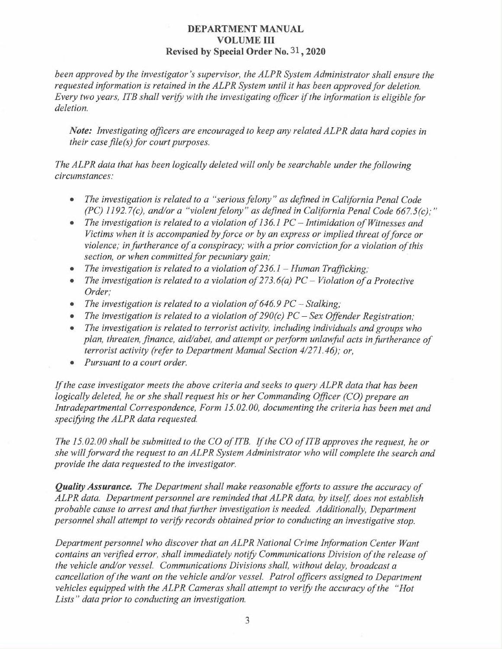been approved by the investigator's supervisor, the ALPR System Administrator shall ensure the requested information is retained in the ALPR System until it has been approved for deletion. Every two years, ITB shall verify with the investigating officer zf the information is eligible for deletion.

Note: Investigating officers are encouraged to keep any related ALPR data hard copies in their case file(s) for court purposes.

The ALPR data that has been logically deleted will only be searchable under the following circumstances:

- The investigation is related to a "serious felony" as defined in California Penal Code  $(PC)$  1192.7(c), and/or a "violent felony" as defined in California Penal Code 667.5(c);"
- The investigation is related to a violation of 136.1 PC Intimidation of Witnesses and Victims when it is accompanied by force or by an express or implied threat of force or violence; in furtherance of a conspiracy; with a prior conviction for a violation of this section, or when committed for pecuniary gain;
- The investigation is related to a violation of  $236.1$  Human Trafficking;
- The investigation is related to a violation of  $273.6(a) PC Violation$  of a Protective Order;
- The investigation is related to a violation of  $646.9$  PC Stalking;
- The investigation is related to a violation of  $290(c)$  PC Sex Offender Registration;
- The investigation is related to terrorist activity, including individuals and groups who plan, threaten, finance, aid/abet, and attempt or perform unlawful acts in furtherance of terrorist activity (refer to Department Manual Section 4/271.46); or,
- Pursuant to a court order.

If the case investigator meets the above criteria and seeks to query ALPR data that has been logically deleted, he or she shall request his or her Commanding Officer (CO) prepare an Intradepartmental Correspondence, Form  $15.02.00$ , documenting the criteria has been met and specifying the ALPR data requested.

The 15.02.00 shall be submitted to the CO of ITB. If the CO of ITB approves the request, he or she will forward the request to an ALPR System Administrator who will complete the search and provide the data requested to the investigator.

Quality Assurance. The Department shall make reasonable efforts to assure the accuracy of ALPR data. Department personnel are reminded that ALPR data, by itself, does not establish probable cause to arrest and that further investigation is needed. Additionally, Department personnel shall attempt to verify records obtained prior to conducting an investigative stop.

Department personnel who discover that an ALPR National Crime Information Center Want contains an verified error, shall immediately notify Communications Division of the release of the vehicle and/or vessel. Communications Divisions shall, without delay, broadcast a cancellation of the want on the vehicle and/or vessel. Patrol officers assigned to Department vehicles equipped with the ALPR Cameras shall attempt to verify the accuracy of the "Hot Lists" data prior to conducting an investigation.